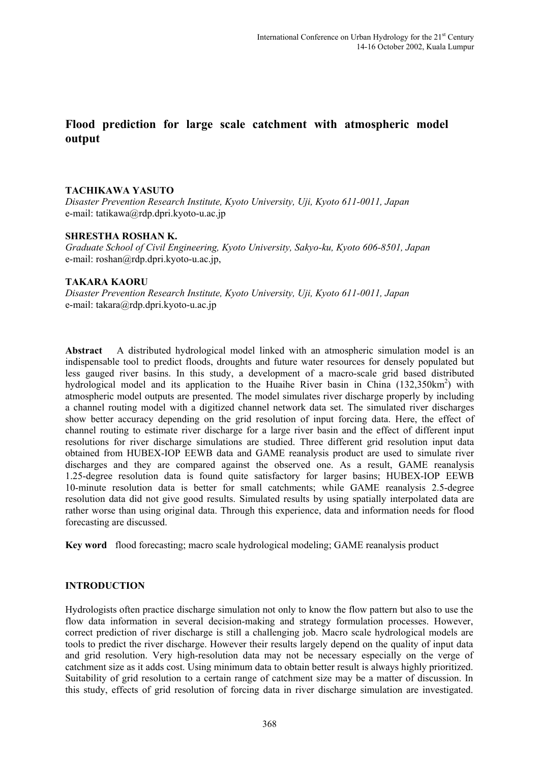# **Flood prediction for large scale catchment with atmospheric model output**

# **TACHIKAWA YASUTO**

*Disaster Prevention Research Institute, Kyoto University, Uji, Kyoto 611-0011, Japan*  e-mail: [tatikawa@rdp.dpri.kyoto-u.ac.jp](mailto:tatikawa@rdp.dpri.kyoto-u.ac.jp)

### **SHRESTHA ROSHAN K.**

*Graduate School of Civil Engineering, Kyoto University, Sakyo-ku, Kyoto 606-8501, Japan*  e-mail: roshan@rdp.dpri.kyoto-u.ac.jp,

#### **TAKARA KAORU**

*Disaster Prevention Research Institute, Kyoto University, Uji, Kyoto 611-0011, Japan*  e-mail: [takara@rdp.dpri.kyoto-u.ac.jp](mailto:takara@rdp.dpri.kyoto-u.ac.jp)

**Abstract** A distributed hydrological model linked with an atmospheric simulation model is an indispensable tool to predict floods, droughts and future water resources for densely populated but less gauged river basins. In this study, a development of a macro-scale grid based distributed hydrological model and its application to the Huaihe River basin in China  $(132,350 \text{km}^2)$  with atmospheric model outputs are presented. The model simulates river discharge properly by including a channel routing model with a digitized channel network data set. The simulated river discharges show better accuracy depending on the grid resolution of input forcing data. Here, the effect of channel routing to estimate river discharge for a large river basin and the effect of different input resolutions for river discharge simulations are studied. Three different grid resolution input data obtained from HUBEX-IOP EEWB data and GAME reanalysis product are used to simulate river discharges and they are compared against the observed one. As a result, GAME reanalysis 1.25-degree resolution data is found quite satisfactory for larger basins; HUBEX-IOP EEWB 10-minute resolution data is better for small catchments; while GAME reanalysis 2.5-degree resolution data did not give good results. Simulated results by using spatially interpolated data are rather worse than using original data. Through this experience, data and information needs for flood forecasting are discussed.

**Key word** flood forecasting; macro scale hydrological modeling; GAME reanalysis product

# **INTRODUCTION**

Hydrologists often practice discharge simulation not only to know the flow pattern but also to use the flow data information in several decision-making and strategy formulation processes. However, correct prediction of river discharge is still a challenging job. Macro scale hydrological models are tools to predict the river discharge. However their results largely depend on the quality of input data and grid resolution. Very high-resolution data may not be necessary especially on the verge of catchment size as it adds cost. Using minimum data to obtain better result is always highly prioritized. Suitability of grid resolution to a certain range of catchment size may be a matter of discussion. In this study, effects of grid resolution of forcing data in river discharge simulation are investigated.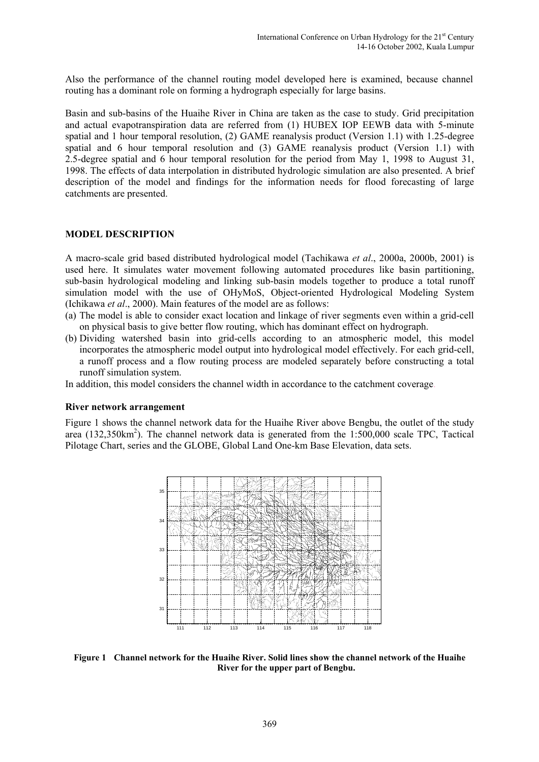Also the performance of the channel routing model developed here is examined, because channel routing has a dominant role on forming a hydrograph especially for large basins.

Basin and sub-basins of the Huaihe River in China are taken as the case to study. Grid precipitation and actual evapotranspiration data are referred from (1) HUBEX IOP EEWB data with 5-minute spatial and 1 hour temporal resolution, (2) GAME reanalysis product (Version 1.1) with 1.25-degree spatial and 6 hour temporal resolution and (3) GAME reanalysis product (Version 1.1) with 2.5-degree spatial and 6 hour temporal resolution for the period from May 1, 1998 to August 31, 1998. The effects of data interpolation in distributed hydrologic simulation are also presented. A brief description of the model and findings for the information needs for flood forecasting of large catchments are presented.

#### **MODEL DESCRIPTION**

A macro-scale grid based distributed hydrological model (Tachikawa *et al*., 2000a, 2000b, 2001) is used here. It simulates water movement following automated procedures like basin partitioning, sub-basin hydrological modeling and linking sub-basin models together to produce a total runoff simulation model with the use of OHyMoS, Object-oriented Hydrological Modeling System (Ichikawa *et al*., 2000). Main features of the model are as follows:

- (a) The model is able to consider exact location and linkage of river segments even within a grid-cell on physical basis to give better flow routing, which has dominant effect on hydrograph.
- (b) Dividing watershed basin into grid-cells according to an atmospheric model, this model incorporates the atmospheric model output into hydrological model effectively. For each grid-cell, a runoff process and a flow routing process are modeled separately before constructing a total runoff simulation system.

In addition, this model considers the channel width in accordance to the catchment coverage.

#### **River network arrangement**

Figure 1 shows the channel network data for the Huaihe River above Bengbu, the outlet of the study area  $(132,350 \text{km}^2)$ . The channel network data is generated from the 1:500,000 scale TPC, Tactical Pilotage Chart, series and the GLOBE, Global Land One-km Base Elevation, data sets.



**Figure 1 Channel network for the Huaihe River. Solid lines show the channel network of the Huaihe River for the upper part of Bengbu.**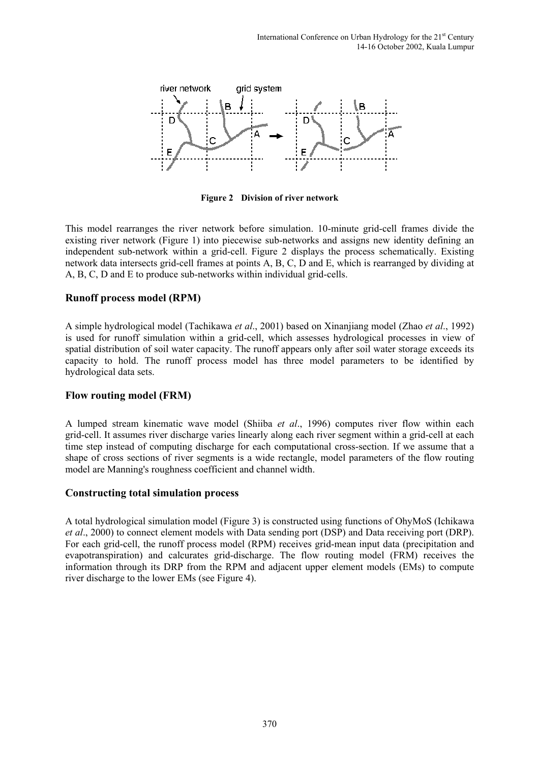

**Figure 2 Division of river network** 

This model rearranges the river network before simulation. 10-minute grid-cell frames divide the existing river network (Figure 1) into piecewise sub-networks and assigns new identity defining an independent sub-network within a grid-cell. Figure 2 displays the process schematically. Existing network data intersects grid-cell frames at points A, B, C, D and E, which is rearranged by dividing at A, B, C, D and E to produce sub-networks within individual grid-cells.

# **Runoff process model (RPM)**

A simple hydrological model (Tachikawa *et al*., 2001) based on Xinanjiang model (Zhao *et al*., 1992) is used for runoff simulation within a grid-cell, which assesses hydrological processes in view of spatial distribution of soil water capacity. The runoff appears only after soil water storage exceeds its capacity to hold. The runoff process model has three model parameters to be identified by hydrological data sets.

# **Flow routing model (FRM)**

A lumped stream kinematic wave model (Shiiba *et al*., 1996) computes river flow within each grid-cell. It assumes river discharge varies linearly along each river segment within a grid-cell at each time step instead of computing discharge for each computational cross-section. If we assume that a shape of cross sections of river segments is a wide rectangle, model parameters of the flow routing model are Manning's roughness coefficient and channel width.

# **Constructing total simulation process**

A total hydrological simulation model (Figure 3) is constructed using functions of OhyMoS (Ichikawa *et al*., 2000) to connect element models with Data sending port (DSP) and Data receiving port (DRP). For each grid-cell, the runoff process model (RPM) receives grid-mean input data (precipitation and evapotranspiration) and calcurates grid-discharge. The flow routing model (FRM) receives the information through its DRP from the RPM and adjacent upper element models (EMs) to compute river discharge to the lower EMs (see Figure 4).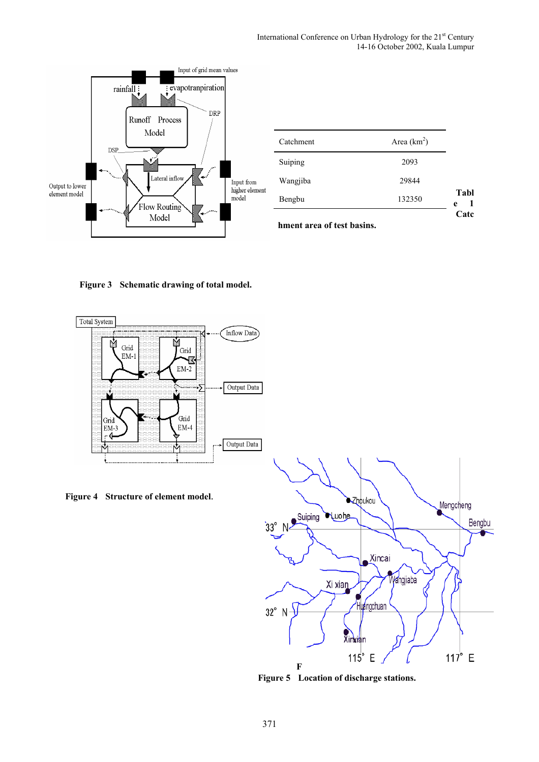

| Area $(km^2)$ |
|---------------|
| 2093          |
| 29844         |
| 132350        |
|               |

**hment area of test basins.** 

**Figure 3 Schematic drawing of total model.**



**Figure 4 Structure of element model**.



**Figure 5 Location of discharge stations.**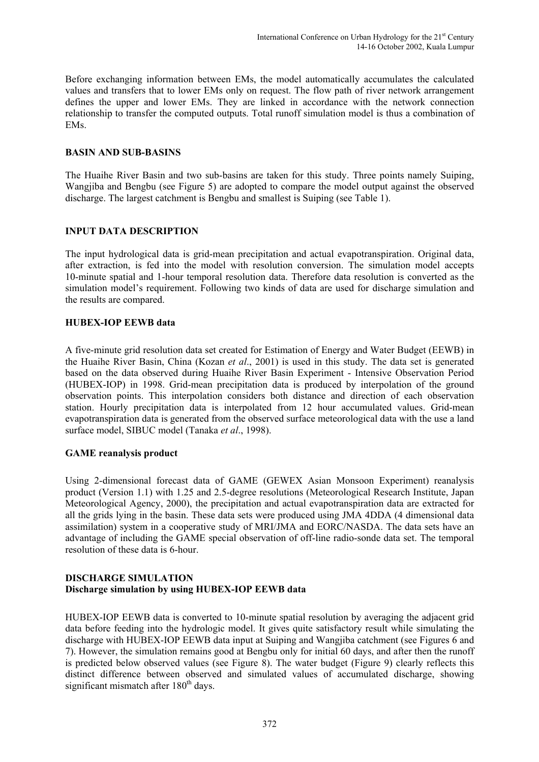Before exchanging information between EMs, the model automatically accumulates the calculated values and transfers that to lower EMs only on request. The flow path of river network arrangement defines the upper and lower EMs. They are linked in accordance with the network connection relationship to transfer the computed outputs. Total runoff simulation model is thus a combination of EMs.

#### **BASIN AND SUB-BASINS**

The Huaihe River Basin and two sub-basins are taken for this study. Three points namely Suiping, Wangjiba and Bengbu (see Figure 5) are adopted to compare the model output against the observed discharge. The largest catchment is Bengbu and smallest is Suiping (see Table 1).

### **INPUT DATA DESCRIPTION**

The input hydrological data is grid-mean precipitation and actual evapotranspiration. Original data, after extraction, is fed into the model with resolution conversion. The simulation model accepts 10-minute spatial and 1-hour temporal resolution data. Therefore data resolution is converted as the simulation model's requirement. Following two kinds of data are used for discharge simulation and the results are compared.

### **HUBEX-IOP EEWB data**

A five-minute grid resolution data set created for Estimation of Energy and Water Budget (EEWB) in the Huaihe River Basin, China (Kozan *et al*., 2001) is used in this study. The data set is generated based on the data observed during Huaihe River Basin Experiment - Intensive Observation Period (HUBEX-IOP) in 1998. Grid-mean precipitation data is produced by interpolation of the ground observation points. This interpolation considers both distance and direction of each observation station. Hourly precipitation data is interpolated from 12 hour accumulated values. Grid-mean evapotranspiration data is generated from the observed surface meteorological data with the use a land surface model, SIBUC model (Tanaka *et al*., 1998).

#### **GAME reanalysis product**

Using 2-dimensional forecast data of GAME (GEWEX Asian Monsoon Experiment) reanalysis product (Version 1.1) with 1.25 and 2.5-degree resolutions (Meteorological Research Institute, Japan Meteorological Agency, 2000), the precipitation and actual evapotranspiration data are extracted for all the grids lying in the basin. These data sets were produced using JMA 4DDA (4 dimensional data assimilation) system in a cooperative study of MRI/JMA and EORC/NASDA. The data sets have an advantage of including the GAME special observation of off-line radio-sonde data set. The temporal resolution of these data is 6-hour.

### **DISCHARGE SIMULATION Discharge simulation by using HUBEX-IOP EEWB data**

HUBEX-IOP EEWB data is converted to 10-minute spatial resolution by averaging the adjacent grid data before feeding into the hydrologic model. It gives quite satisfactory result while simulating the discharge with HUBEX-IOP EEWB data input at Suiping and Wangjiba catchment (see Figures 6 and 7). However, the simulation remains good at Bengbu only for initial 60 days, and after then the runoff is predicted below observed values (see Figure 8). The water budget (Figure 9) clearly reflects this distinct difference between observed and simulated values of accumulated discharge, showing significant mismatch after  $180<sup>th</sup>$  days.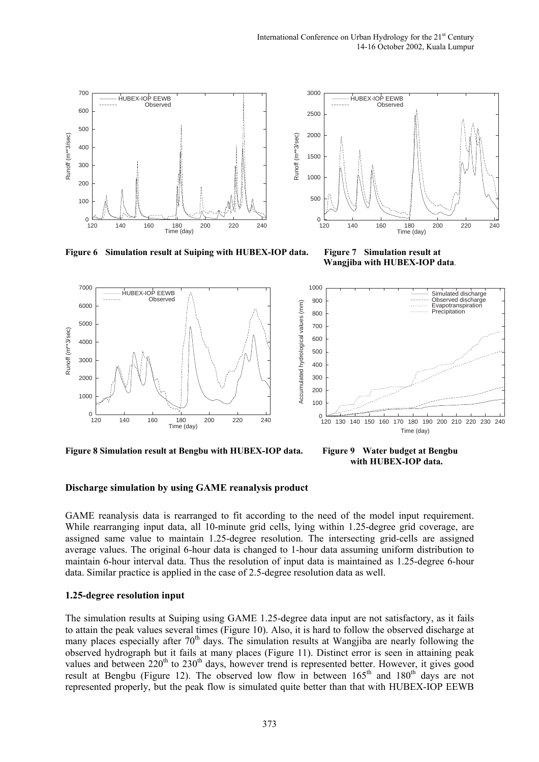



 **Wangjiba with HUBEX-IOP data**.



**Figure 8 Simulation result at Bengbu with HUBEX-IOP data. Figure 9 Water budget at Bengbu** 

 **with HUBEX-IOP data.**

#### **Discharge simulation by using GAME reanalysis product**

GAME reanalysis data is rearranged to fit according to the need of the model input requirement. While rearranging input data, all 10-minute grid cells, lying within 1.25-degree grid coverage, are assigned same value to maintain 1.25-degree resolution. The intersecting grid-cells are assigned average values. The original 6-hour data is changed to 1-hour data assuming uniform distribution to maintain 6-hour interval data. Thus the resolution of input data is maintained as 1.25-degree 6-hour data. Similar practice is applied in the case of 2.5-degree resolution data as well.

#### **1.25-degree resolution input**

The simulation results at Suiping using GAME 1.25-degree data input are not satisfactory, as it fails to attain the peak values several times (Figure 10). Also, it is hard to follow the observed discharge at many places especially after 70<sup>th</sup> days. The simulation results at Wangjiba are nearly following the observed hydrograph but it fails at many places (Figure 11). Distinct error is seen in attaining peak values and between  $220<sup>th</sup>$  to  $230<sup>th</sup>$  days, however trend is represented better. However, it gives good result at Bengbu (Figure 12). The observed low flow in between  $165<sup>th</sup>$  and  $180<sup>th</sup>$  days are not represented properly, but the peak flow is simulated quite better than that with HUBEX-IOP EEWB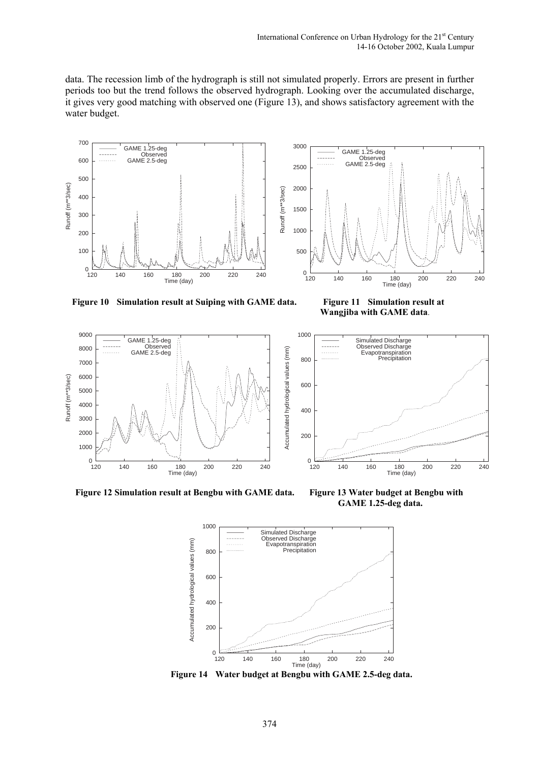data. The recession limb of the hydrograph is still not simulated properly. Errors are present in further periods too but the trend follows the observed hydrograph. Looking over the accumulated discharge, it gives very good matching with observed one (Figure 13), and shows satisfactory agreement with the water budget.





**Figure 10 Simulation result at Suiping with GAME data. Figure 11 Simulation result at** 

 **Wangjiba with GAME data**.

Simulated Discharge Observed Discharge Evapotranspiration Precipitation



**Figure 12 Simulation result at Bengbu with GAME data. Figure 13 Water budget at Bengbu with** 

 **GAME 1.25-deg data.** 

120 140 160 180 200 220 240 Time (day)



 $0\frac{1}{120}$ 

<u>. . . . . . .</u>

. . . . . . . .

 **Figure 14 Water budget at Bengbu with GAME 2.5-deg data.**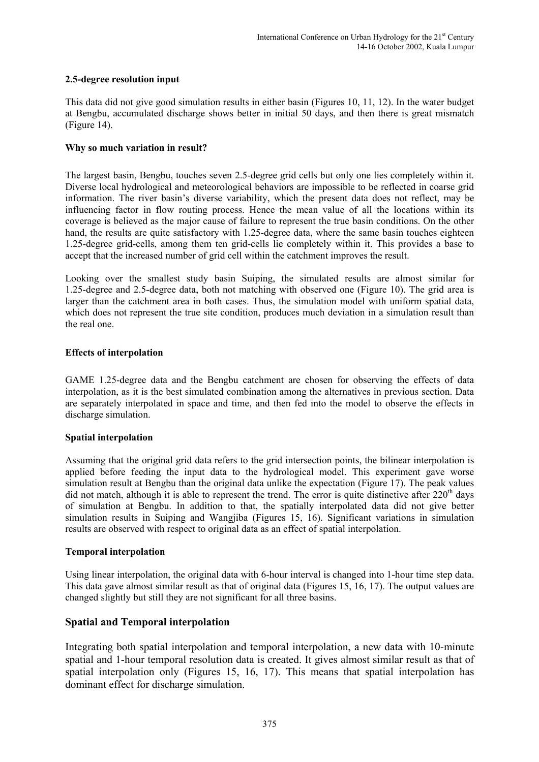## **2.5-degree resolution input**

This data did not give good simulation results in either basin (Figures 10, 11, 12). In the water budget at Bengbu, accumulated discharge shows better in initial 50 days, and then there is great mismatch (Figure 14).

#### **Why so much variation in result?**

The largest basin, Bengbu, touches seven 2.5-degree grid cells but only one lies completely within it. Diverse local hydrological and meteorological behaviors are impossible to be reflected in coarse grid information. The river basin's diverse variability, which the present data does not reflect, may be influencing factor in flow routing process. Hence the mean value of all the locations within its coverage is believed as the major cause of failure to represent the true basin conditions. On the other hand, the results are quite satisfactory with 1.25-degree data, where the same basin touches eighteen 1.25-degree grid-cells, among them ten grid-cells lie completely within it. This provides a base to accept that the increased number of grid cell within the catchment improves the result.

Looking over the smallest study basin Suiping, the simulated results are almost similar for 1.25-degree and 2.5-degree data, both not matching with observed one (Figure 10). The grid area is larger than the catchment area in both cases. Thus, the simulation model with uniform spatial data, which does not represent the true site condition, produces much deviation in a simulation result than the real one.

### **Effects of interpolation**

GAME 1.25-degree data and the Bengbu catchment are chosen for observing the effects of data interpolation, as it is the best simulated combination among the alternatives in previous section. Data are separately interpolated in space and time, and then fed into the model to observe the effects in discharge simulation.

#### **Spatial interpolation**

Assuming that the original grid data refers to the grid intersection points, the bilinear interpolation is applied before feeding the input data to the hydrological model. This experiment gave worse simulation result at Bengbu than the original data unlike the expectation (Figure 17). The peak values did not match, although it is able to represent the trend. The error is quite distinctive after  $220<sup>th</sup>$  days of simulation at Bengbu. In addition to that, the spatially interpolated data did not give better simulation results in Suiping and Wangjiba (Figures 15, 16). Significant variations in simulation results are observed with respect to original data as an effect of spatial interpolation.

#### **Temporal interpolation**

Using linear interpolation, the original data with 6-hour interval is changed into 1-hour time step data. This data gave almost similar result as that of original data (Figures 15, 16, 17). The output values are changed slightly but still they are not significant for all three basins.

# **Spatial and Temporal interpolation**

Integrating both spatial interpolation and temporal interpolation, a new data with 10-minute spatial and 1-hour temporal resolution data is created. It gives almost similar result as that of spatial interpolation only (Figures 15, 16, 17). This means that spatial interpolation has dominant effect for discharge simulation.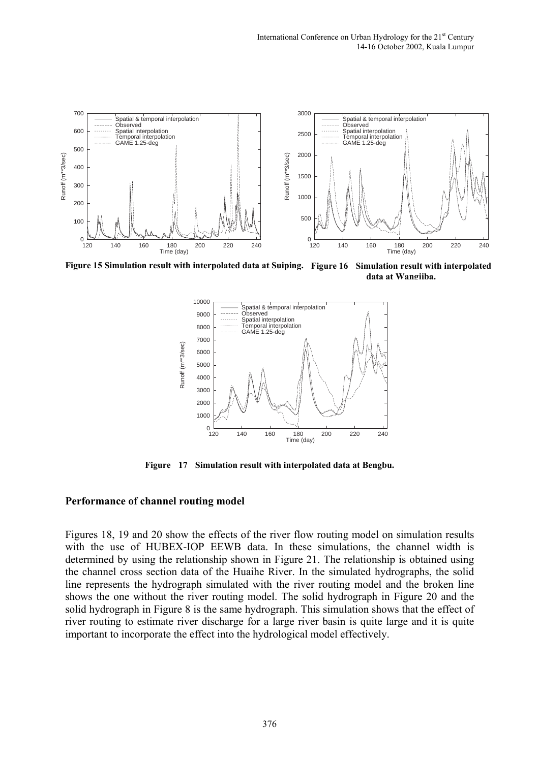

**Figure 15 Simulation result with interpolated data at Suiping. Figure 16 Simulation result with interpolated data at Wangjiba.**



**Figure 17 Simulation result with interpolated data at Bengbu.** 

### **Performance of channel routing model**

Figures 18, 19 and 20 show the effects of the river flow routing model on simulation results with the use of HUBEX-IOP EEWB data. In these simulations, the channel width is determined by using the relationship shown in Figure 21. The relationship is obtained using the channel cross section data of the Huaihe River. In the simulated hydrographs, the solid line represents the hydrograph simulated with the river routing model and the broken line shows the one without the river routing model. The solid hydrograph in Figure 20 and the solid hydrograph in Figure 8 is the same hydrograph. This simulation shows that the effect of river routing to estimate river discharge for a large river basin is quite large and it is quite important to incorporate the effect into the hydrological model effectively.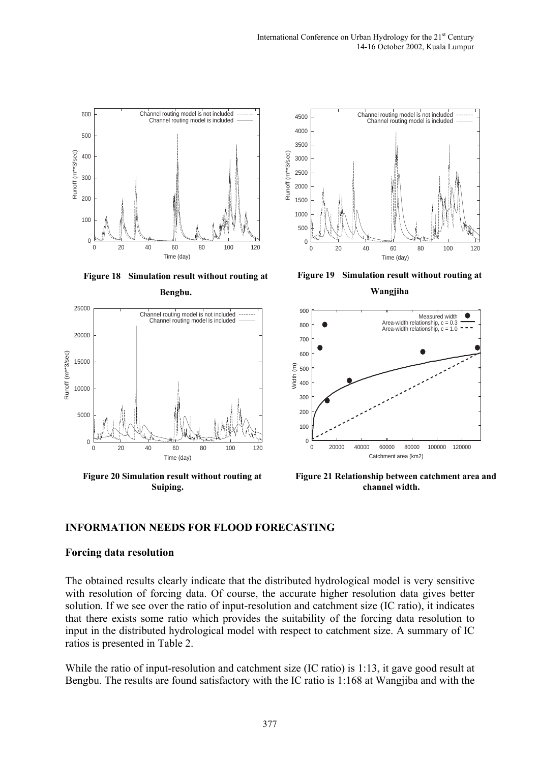





**Figure 20 Simulation result without routing at Suiping.** 



**Figure 19 Simulation result without routing at**

**Wangjiha** 



**Figure 21 Relationship between catchment area and channel width.**

# **INFORMATION NEEDS FOR FLOOD FORECASTING**

#### **Forcing data resolution**

The obtained results clearly indicate that the distributed hydrological model is very sensitive with resolution of forcing data. Of course, the accurate higher resolution data gives better solution. If we see over the ratio of input-resolution and catchment size (IC ratio), it indicates that there exists some ratio which provides the suitability of the forcing data resolution to input in the distributed hydrological model with respect to catchment size. A summary of IC ratios is presented in Table 2.

While the ratio of input-resolution and catchment size (IC ratio) is 1:13, it gave good result at Bengbu. The results are found satisfactory with the IC ratio is 1:168 at Wangjiba and with the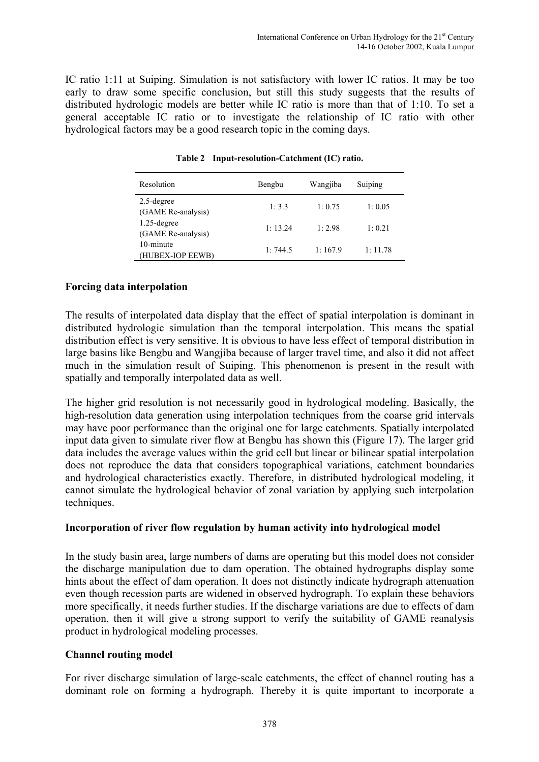IC ratio 1:11 at Suiping. Simulation is not satisfactory with lower IC ratios. It may be too early to draw some specific conclusion, but still this study suggests that the results of distributed hydrologic models are better while IC ratio is more than that of 1:10. To set a general acceptable IC ratio or to investigate the relationship of IC ratio with other hydrological factors may be a good research topic in the coming days.

| Resolution                           | Bengbu   | Wangjiba | Suiping |
|--------------------------------------|----------|----------|---------|
| $2.5$ -degree<br>(GAME Re-analysis)  | 1:3.3    | 1:0.75   | 1:0.05  |
| $1.25$ -degree<br>(GAME Re-analysis) | 1: 13.24 | 1:2.98   | 1:0.21  |
| 10-minute<br>(HUBEX-IOP EEWB)        | 1:744.5  | 1:167.9  | 1:11.78 |

**Table 2 Input-resolution-Catchment (IC) ratio.** 

# **Forcing data interpolation**

The results of interpolated data display that the effect of spatial interpolation is dominant in distributed hydrologic simulation than the temporal interpolation. This means the spatial distribution effect is very sensitive. It is obvious to have less effect of temporal distribution in large basins like Bengbu and Wangjiba because of larger travel time, and also it did not affect much in the simulation result of Suiping. This phenomenon is present in the result with spatially and temporally interpolated data as well.

The higher grid resolution is not necessarily good in hydrological modeling. Basically, the high-resolution data generation using interpolation techniques from the coarse grid intervals may have poor performance than the original one for large catchments. Spatially interpolated input data given to simulate river flow at Bengbu has shown this (Figure 17). The larger grid data includes the average values within the grid cell but linear or bilinear spatial interpolation does not reproduce the data that considers topographical variations, catchment boundaries and hydrological characteristics exactly. Therefore, in distributed hydrological modeling, it cannot simulate the hydrological behavior of zonal variation by applying such interpolation techniques.

# **Incorporation of river flow regulation by human activity into hydrological model**

In the study basin area, large numbers of dams are operating but this model does not consider the discharge manipulation due to dam operation. The obtained hydrographs display some hints about the effect of dam operation. It does not distinctly indicate hydrograph attenuation even though recession parts are widened in observed hydrograph. To explain these behaviors more specifically, it needs further studies. If the discharge variations are due to effects of dam operation, then it will give a strong support to verify the suitability of GAME reanalysis product in hydrological modeling processes.

# **Channel routing model**

For river discharge simulation of large-scale catchments, the effect of channel routing has a dominant role on forming a hydrograph. Thereby it is quite important to incorporate a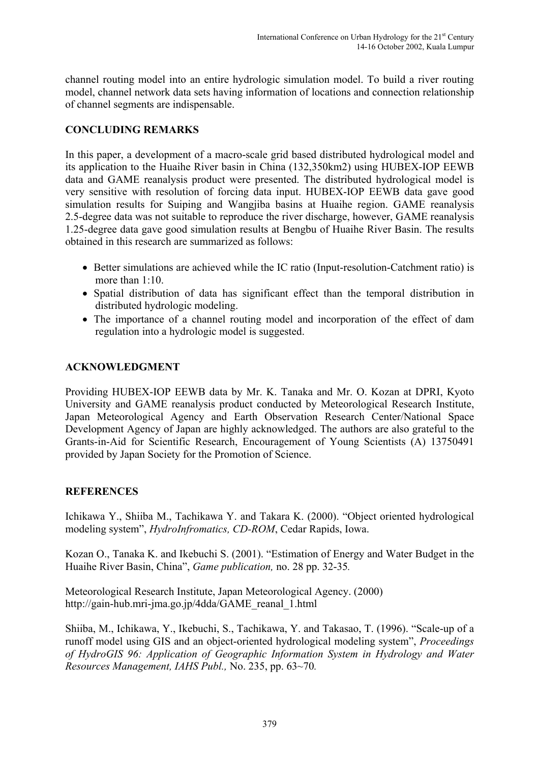channel routing model into an entire hydrologic simulation model. To build a river routing model, channel network data sets having information of locations and connection relationship of channel segments are indispensable.

# **CONCLUDING REMARKS**

In this paper, a development of a macro-scale grid based distributed hydrological model and its application to the Huaihe River basin in China (132,350km2) using HUBEX-IOP EEWB data and GAME reanalysis product were presented. The distributed hydrological model is very sensitive with resolution of forcing data input. HUBEX-IOP EEWB data gave good simulation results for Suiping and Wangjiba basins at Huaihe region. GAME reanalysis 2.5-degree data was not suitable to reproduce the river discharge, however, GAME reanalysis 1.25-degree data gave good simulation results at Bengbu of Huaihe River Basin. The results obtained in this research are summarized as follows:

- Better simulations are achieved while the IC ratio (Input-resolution-Catchment ratio) is more than 1:10.
- Spatial distribution of data has significant effect than the temporal distribution in distributed hydrologic modeling.
- The importance of a channel routing model and incorporation of the effect of dam regulation into a hydrologic model is suggested.

# **ACKNOWLEDGMENT**

Providing HUBEX-IOP EEWB data by Mr. K. Tanaka and Mr. O. Kozan at DPRI, Kyoto University and GAME reanalysis product conducted by Meteorological Research Institute, Japan Meteorological Agency and Earth Observation Research Center/National Space Development Agency of Japan are highly acknowledged. The authors are also grateful to the Grants-in-Aid for Scientific Research, Encouragement of Young Scientists (A) 13750491 provided by Japan Society for the Promotion of Science.

# **REFERENCES**

Ichikawa Y., Shiiba M., Tachikawa Y. and Takara K. (2000). "Object oriented hydrological modeling system", *HydroInfromatics, CD-ROM*, Cedar Rapids, Iowa.

Kozan O., Tanaka K. and Ikebuchi S. (2001). "Estimation of Energy and Water Budget in the Huaihe River Basin, China", *Game publication,* no. 28 pp. 32-35*.*

Meteorological Research Institute, Japan Meteorological Agency. (2000) http://gain-hub.mri-jma.go.jp/4dda/GAME\_reanal\_1.html

Shiiba, M., Ichikawa, Y., Ikebuchi, S., Tachikawa, Y. and Takasao, T. (1996). "Scale-up of a runoff model using GIS and an object-oriented hydrological modeling system", *Proceedings of HydroGIS 96: Application of Geographic Information System in Hydrology and Water Resources Management, IAHS Publ.,* No. 235, pp. 63~70*.*